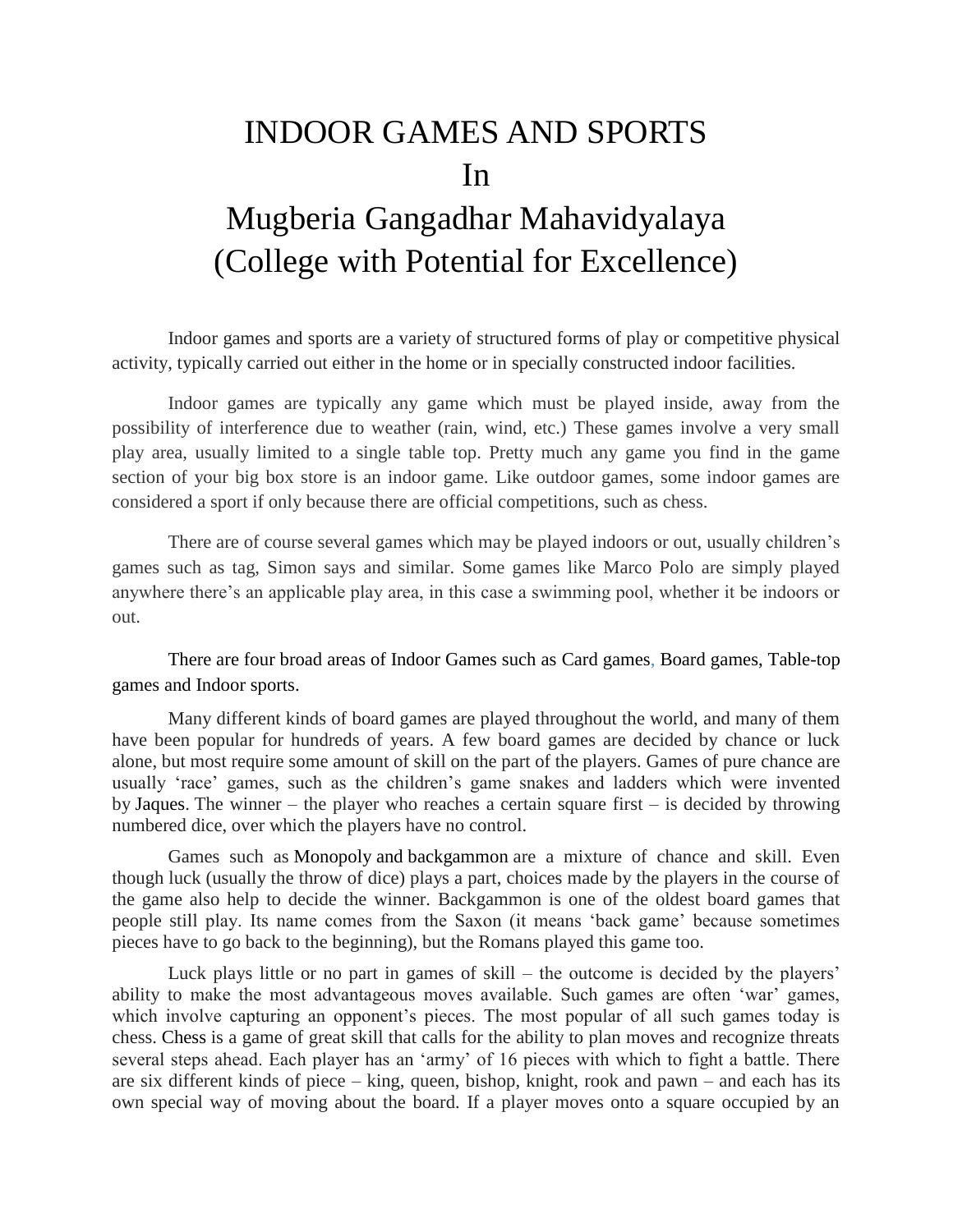## INDOOR GAMES AND SPORTS In Mugberia Gangadhar Mahavidyalaya (College with Potential for Excellence)

Indoor games and sports are a variety of structured forms of play or competitive physical activity, typically carried out either in the home or in specially constructed indoor facilities.

Indoor games are typically any game which must be played inside, away from the possibility of interference due to weather (rain, wind, etc.) These games involve a very small play area, usually limited to a single table top. Pretty much any game you find in the game section of your big box store is an indoor game. Like outdoor games, some indoor games are considered a sport if only because there are official competitions, such as chess.

There are of course several games which may be played indoors or out, usually children's games such as tag, Simon says and similar. Some games like Marco Polo are simply played anywhere there's an applicable play area, in this case a swimming pool, whether it be indoors or out.

There are four broad areas of Indoor Games such as Card games, Board games, Table-top games and Indoor sports.

Many different kinds of board games are played throughout the world, and many of them have been popular for hundreds of years. A few board games are decided by chance or luck alone, but most require some amount of skill on the part of the players. Games of pure chance are usually 'race' games, such as the children's game snakes and ladders which were invented by [Jaques.](https://en.wikipedia.org/wiki/Jaques_of_London) The winner – the player who reaches a certain square first – is decided by throwing numbered dice, over which the players have no control.

Games such as [Monopoly](https://en.wikipedia.org/wiki/Monopoly_(game)) and [backgammon](https://en.wikipedia.org/wiki/Backgammon) are a mixture of chance and skill. Even though luck (usually the throw of dice) plays a part, choices made by the players in the course of the game also help to decide the winner. Backgammon is one of the oldest board games that people still play. Its name comes from the Saxon (it means 'back game' because sometimes pieces have to go back to the beginning), but the Romans played this game too.

Luck plays little or no part in games of skill – the outcome is decided by the players' ability to make the most advantageous moves available. Such games are often 'war' games, which involve capturing an opponent's pieces. The most popular of all such games today is chess. [Chess](https://en.wikipedia.org/wiki/Chess) is a game of great skill that calls for the ability to plan moves and recognize threats several steps ahead. Each player has an 'army' of 16 pieces with which to fight a battle. There are six different kinds of piece – king, queen, bishop, knight, rook and pawn – and each has its own special way of moving about the board. If a player moves onto a square occupied by an